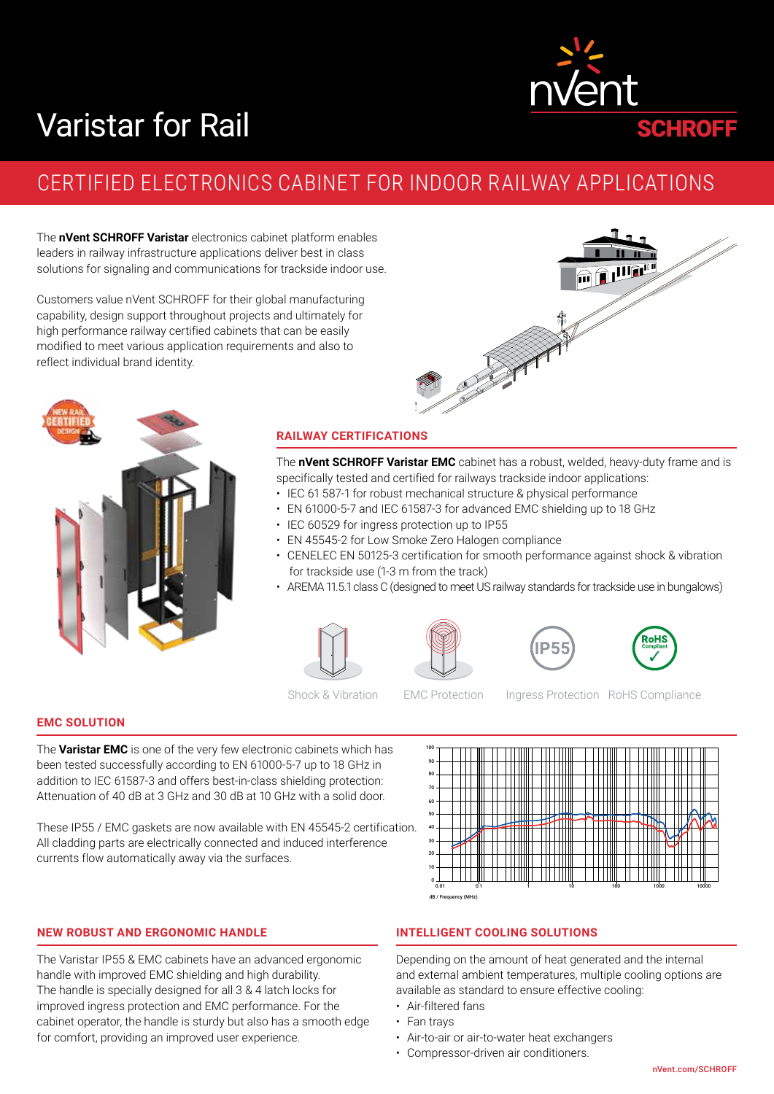# Varistar for Rail



# CERTIFIED ELECTRONICS CABINET FOR INDOOR RAILWAY APPLICATIONS

The **nVent SCHROFF Varistar** electronics cabinet platform enables leaders in railway infrastructure applications deliver best in class solutions for signaling and communications for trackside indoor use.

Customers value nVent SCHROFF for their global manufacturing capability, design support throughout projects and ultimately for high performance railway certified cabinets that can be easily modified to meet various application requirements and also to reflect individual brand identity.





#### **RAILWAY CERTIFICATIONS**

The **nVent SCHROFF Varistar EMC** cabinet has a robust, welded, heavy-duty frame and is specifically tested and certified for railways trackside indoor applications:

- IEC 61 587-1 for robust mechanical structure & physical performance
- EN 61000-5-7 and IEC 61587-3 for advanced EMC shielding up to 18 GHz
- IEC 60529 for ingress protection up to IP55
- EN 45545-2 for Low Smoke Zero Halogen compliance
- CENELEC EN 50125-3 certification for smooth performance against shock & vibration for trackside use (1-3 m from the track)
- AREMA 11.5.1 class C (designed to meet US railway standards for trackside use in bungalows)











Shock & Vibration EMC Protection Ingress Protection RoHS Compliance

# **EMC SOLUTION**

The **Varistar EMC** is one of the very few electronic cabinets which has been tested successfully according to EN 61000-5-7 up to 18 GHz in addition to IEC 61587-3 and offers best-in-class shielding protection: Attenuation of 40 dB at 3 GHz and 30 dB at 10 GHz with a solid door.

These IP55 / EMC gaskets are now available with EN 45545-2 certification. All cladding parts are electrically connected and induced interference currents flow automatically away via the surfaces.



#### **NEW ROBUST AND ERGONOMIC HANDLE**

The Varistar IP55 & EMC cabinets have an advanced ergonomic handle with improved EMC shielding and high durability. The handle is specially designed for all 3 & 4 latch locks for improved ingress protection and EMC performance. For the cabinet operator, the handle is sturdy but also has a smooth edge for comfort, providing an improved user experience.

#### **INTELLIGENT COOLING SOLUTIONS**

Depending on the amount of heat generated and the internal and external ambient temperatures, multiple cooling options are available as standard to ensure effective cooling:

- Air-filtered fans
- Fan trays
- Air-to-air or air-to-water heat exchangers
- Compressor-driven air conditioners.